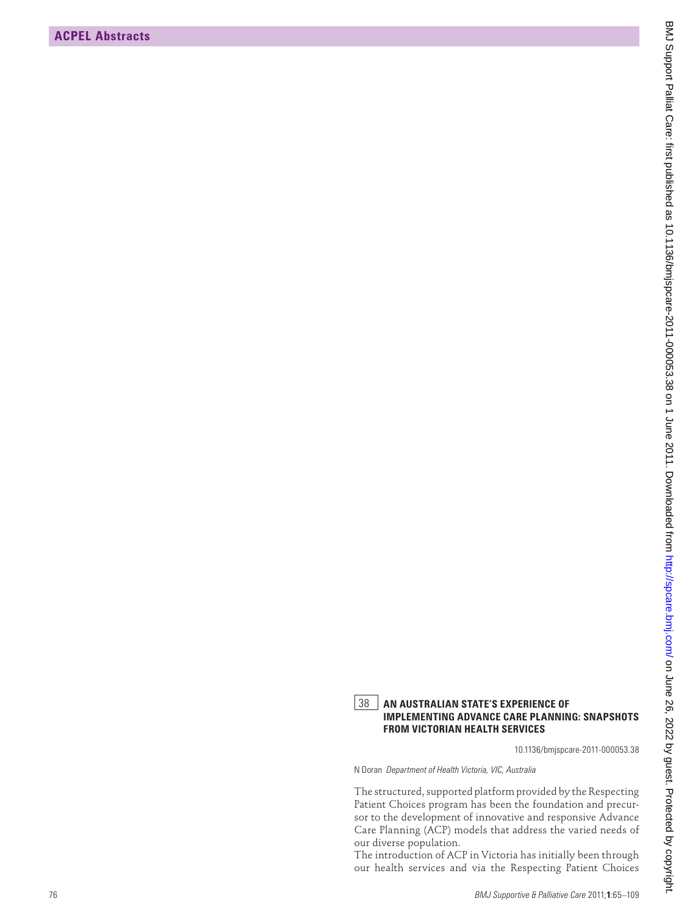## 38 **AN AUSTRALIAN STATE'S EXPERIENCE OF IMPLEMENTING ADVANCE CARE PLANNING: SNAPSHOTS FROM VICTORIAN HEALTH SERVICES**

10.1136/bmjspcare-2011-000053.38

N Doran *Department of Health Victoria, VIC, Australia*

The structured, supported platform provided by the Respecting Patient Choices program has been the foundation and precursor to the development of innovative and responsive Advance Care Planning (ACP) models that address the varied needs of our diverse population. **EXPERIMENTAL RESIDENCE AND CONTRACT CONTRACT CONTRACT CONTRACT CONTRACT CONTRACT CONTRACT CONTRACT CONTRACT CONTRACT CONTRACT CONTRACT CONTRACT CONTRACT CONTRACT CONTRACT CONTRACT CONTRACT CONTRACT CONTRACT CONTRACT CONT** 

The introduction of ACP in Victoria has initially been through our health services and via the Respecting Patient Choices